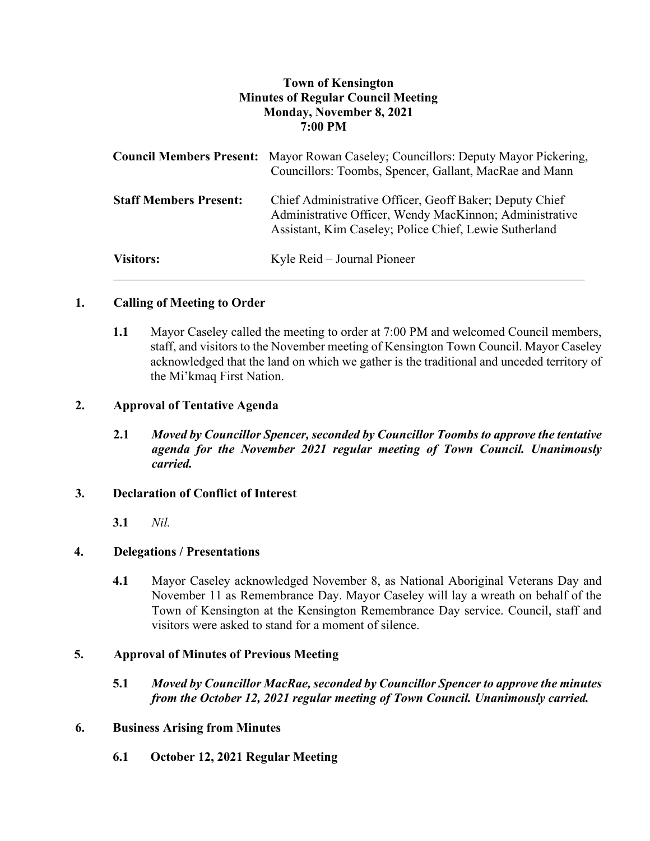# **Town of Kensington Minutes of Regular Council Meeting Monday, November 8, 2021 7:00 PM**

|                               | <b>Council Members Present:</b> Mayor Rowan Caseley; Councillors: Deputy Mayor Pickering,<br>Councillors: Toombs, Spencer, Gallant, MacRae and Mann                          |
|-------------------------------|------------------------------------------------------------------------------------------------------------------------------------------------------------------------------|
| <b>Staff Members Present:</b> | Chief Administrative Officer, Geoff Baker; Deputy Chief<br>Administrative Officer, Wendy MacKinnon; Administrative<br>Assistant, Kim Caseley; Police Chief, Lewie Sutherland |
| <b>Visitors:</b>              | Kyle Reid – Journal Pioneer                                                                                                                                                  |

# **1. Calling of Meeting to Order**

**1.1** Mayor Caseley called the meeting to order at 7:00 PM and welcomed Council members, staff, and visitors to the November meeting of Kensington Town Council. Mayor Caseley acknowledged that the land on which we gather is the traditional and unceded territory of the Mi'kmaq First Nation.

# **2. Approval of Tentative Agenda**

**2.1** *Moved by Councillor Spencer, seconded by Councillor Toombs to approve the tentative agenda for the November 2021 regular meeting of Town Council. Unanimously carried.*

## **3. Declaration of Conflict of Interest**

**3.1** *Nil.*

# **4. Delegations / Presentations**

**4.1** Mayor Caseley acknowledged November 8, as National Aboriginal Veterans Day and November 11 as Remembrance Day. Mayor Caseley will lay a wreath on behalf of the Town of Kensington at the Kensington Remembrance Day service. Council, staff and visitors were asked to stand for a moment of silence.

# **5. Approval of Minutes of Previous Meeting**

**5.1** *Moved by Councillor MacRae, seconded by Councillor Spencer to approve the minutes from the October 12, 2021 regular meeting of Town Council. Unanimously carried.*

## **6. Business Arising from Minutes**

**6.1 October 12, 2021 Regular Meeting**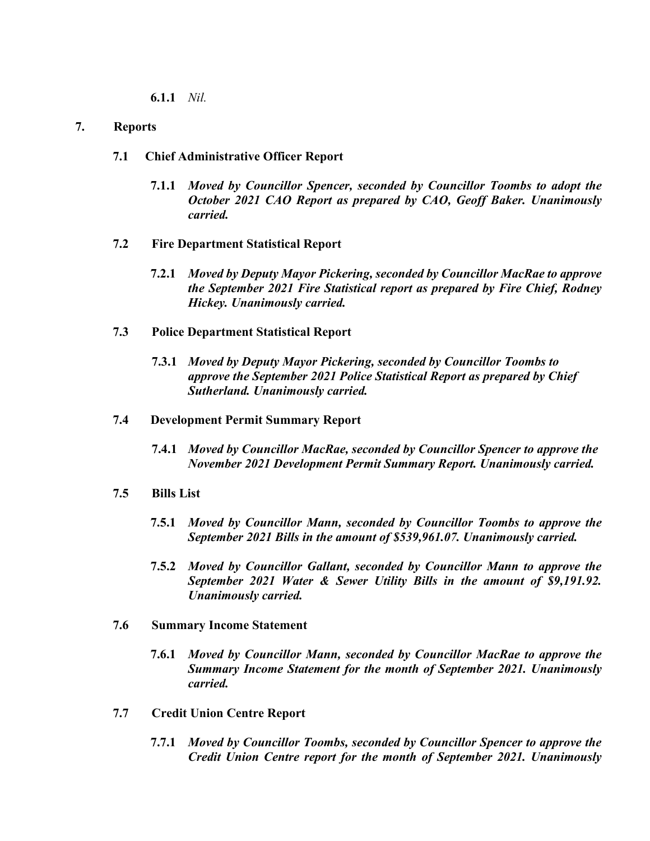**6.1.1** *Nil.*

## **7. Reports**

- **7.1 Chief Administrative Officer Report**
	- **7.1.1** *Moved by Councillor Spencer, seconded by Councillor Toombs to adopt the October 2021 CAO Report as prepared by CAO, Geoff Baker. Unanimously carried.*
- **7.2 Fire Department Statistical Report**
	- **7.2.1** *Moved by Deputy Mayor Pickering, seconded by Councillor MacRae to approve the September 2021 Fire Statistical report as prepared by Fire Chief, Rodney Hickey. Unanimously carried.*
- **7.3 Police Department Statistical Report**
	- **7.3.1** *Moved by Deputy Mayor Pickering, seconded by Councillor Toombs to approve the September 2021 Police Statistical Report as prepared by Chief Sutherland. Unanimously carried.*
- **7.4 Development Permit Summary Report**
	- **7.4.1** *Moved by Councillor MacRae, seconded by Councillor Spencer to approve the November 2021 Development Permit Summary Report. Unanimously carried.*
- **7.5 Bills List** 
	- **7.5.1** *Moved by Councillor Mann, seconded by Councillor Toombs to approve the September 2021 Bills in the amount of \$539,961.07. Unanimously carried.*
	- **7.5.2** *Moved by Councillor Gallant, seconded by Councillor Mann to approve the September 2021 Water & Sewer Utility Bills in the amount of \$9,191.92. Unanimously carried.*
- **7.6 Summary Income Statement**
	- **7.6.1** *Moved by Councillor Mann, seconded by Councillor MacRae to approve the Summary Income Statement for the month of September 2021. Unanimously carried.*
- **7.7 Credit Union Centre Report**
	- **7.7.1** *Moved by Councillor Toombs, seconded by Councillor Spencer to approve the Credit Union Centre report for the month of September 2021. Unanimously*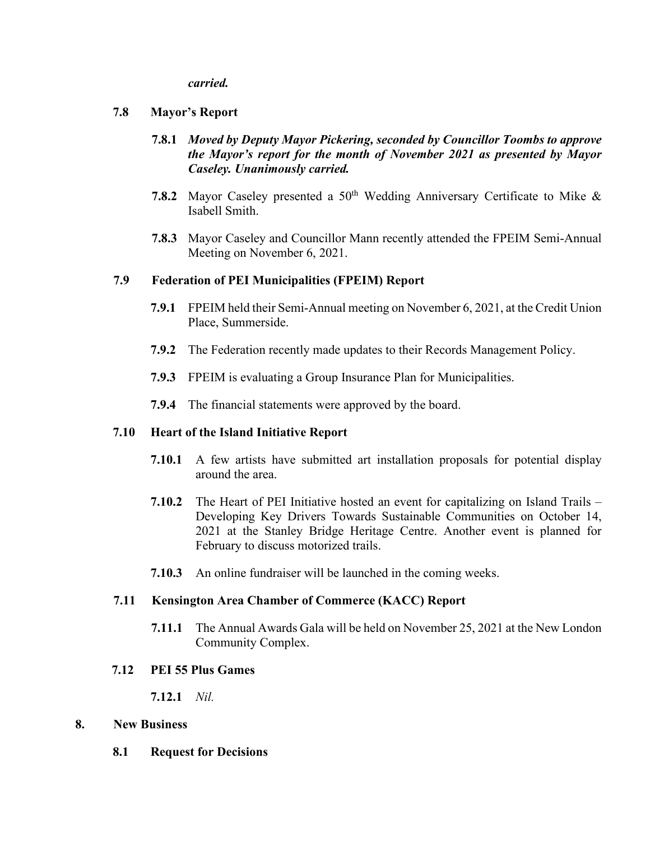### *carried.*

## **7.8 Mayor's Report**

- **7.8.1** *Moved by Deputy Mayor Pickering, seconded by Councillor Toombs to approve the Mayor's report for the month of November 2021 as presented by Mayor Caseley. Unanimously carried.*
- **7.8.2** Mayor Caseley presented a 50<sup>th</sup> Wedding Anniversary Certificate to Mike & Isabell Smith.
- **7.8.3** Mayor Caseley and Councillor Mann recently attended the FPEIM Semi-Annual Meeting on November 6, 2021.

## **7.9 Federation of PEI Municipalities (FPEIM) Report**

- **7.9.1** FPEIM held their Semi-Annual meeting on November 6, 2021, at the Credit Union Place, Summerside.
- **7.9.2** The Federation recently made updates to their Records Management Policy.
- **7.9.3** FPEIM is evaluating a Group Insurance Plan for Municipalities.
- **7.9.4** The financial statements were approved by the board.

## **7.10 Heart of the Island Initiative Report**

- **7.10.1** A few artists have submitted art installation proposals for potential display around the area.
- **7.10.2** The Heart of PEI Initiative hosted an event for capitalizing on Island Trails Developing Key Drivers Towards Sustainable Communities on October 14, 2021 at the Stanley Bridge Heritage Centre. Another event is planned for February to discuss motorized trails.
- **7.10.3** An online fundraiser will be launched in the coming weeks.

## **7.11 Kensington Area Chamber of Commerce (KACC) Report**

**7.11.1** The Annual Awards Gala will be held on November 25, 2021 at the New London Community Complex.

### **7.12 PEI 55 Plus Games**

**7.12.1** *Nil.*

### **8. New Business**

**8.1 Request for Decisions**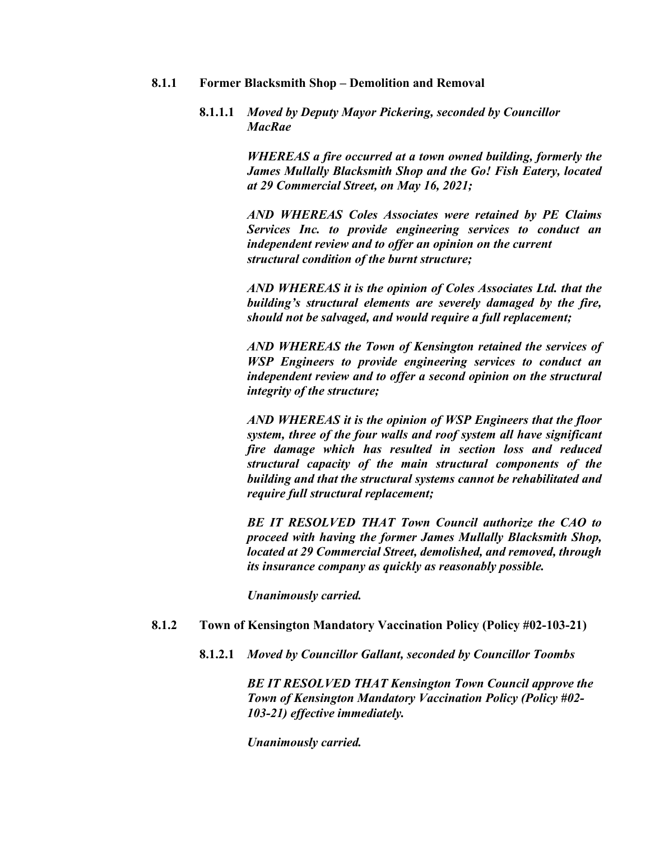#### **8.1.1 Former Blacksmith Shop – Demolition and Removal**

## **8.1.1.1** *Moved by Deputy Mayor Pickering, seconded by Councillor MacRae*

*WHEREAS a fire occurred at a town owned building, formerly the James Mullally Blacksmith Shop and the Go! Fish Eatery, located at 29 Commercial Street, on May 16, 2021;*

*AND WHEREAS Coles Associates were retained by PE Claims Services Inc. to provide engineering services to conduct an independent review and to offer an opinion on the current structural condition of the burnt structure;*

*AND WHEREAS it is the opinion of Coles Associates Ltd. that the building's structural elements are severely damaged by the fire, should not be salvaged, and would require a full replacement;*

*AND WHEREAS the Town of Kensington retained the services of WSP Engineers to provide engineering services to conduct an independent review and to offer a second opinion on the structural integrity of the structure;*

*AND WHEREAS it is the opinion of WSP Engineers that the floor system, three of the four walls and roof system all have significant fire damage which has resulted in section loss and reduced structural capacity of the main structural components of the building and that the structural systems cannot be rehabilitated and require full structural replacement;*

*BE IT RESOLVED THAT Town Council authorize the CAO to proceed with having the former James Mullally Blacksmith Shop, located at 29 Commercial Street, demolished, and removed, through its insurance company as quickly as reasonably possible.*

*Unanimously carried.* 

### **8.1.2 Town of Kensington Mandatory Vaccination Policy (Policy #02-103-21)**

**8.1.2.1** *Moved by Councillor Gallant, seconded by Councillor Toombs*

*BE IT RESOLVED THAT Kensington Town Council approve the Town of Kensington Mandatory Vaccination Policy (Policy #02- 103-21) effective immediately.*

*Unanimously carried.*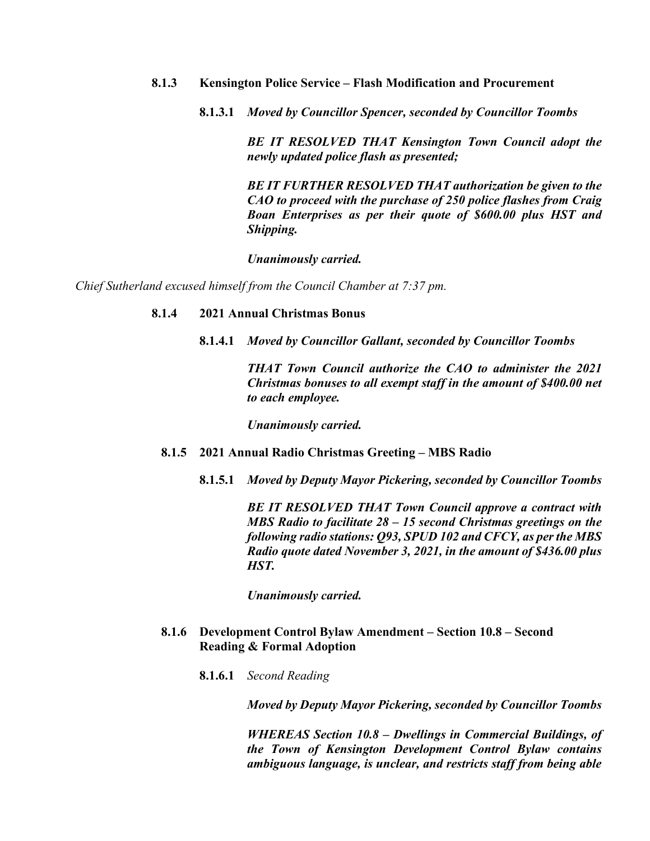### **8.1.3 Kensington Police Service – Flash Modification and Procurement**

**8.1.3.1** *Moved by Councillor Spencer, seconded by Councillor Toombs*

*BE IT RESOLVED THAT Kensington Town Council adopt the newly updated police flash as presented;*

*BE IT FURTHER RESOLVED THAT authorization be given to the CAO to proceed with the purchase of 250 police flashes from Craig Boan Enterprises as per their quote of \$600.00 plus HST and Shipping.*

*Unanimously carried.*

*Chief Sutherland excused himself from the Council Chamber at 7:37 pm.*

### **8.1.4 2021 Annual Christmas Bonus**

**8.1.4.1** *Moved by Councillor Gallant, seconded by Councillor Toombs*

*THAT Town Council authorize the CAO to administer the 2021 Christmas bonuses to all exempt staff in the amount of \$400.00 net to each employee.*

*Unanimously carried.* 

### **8.1.5 2021 Annual Radio Christmas Greeting – MBS Radio**

**8.1.5.1** *Moved by Deputy Mayor Pickering, seconded by Councillor Toombs*

*BE IT RESOLVED THAT Town Council approve a contract with MBS Radio to facilitate 28 – 15 second Christmas greetings on the following radio stations: Q93, SPUD 102 and CFCY, as per the MBS Radio quote dated November 3, 2021, in the amount of \$436.00 plus HST.*

*Unanimously carried.*

## **8.1.6 Development Control Bylaw Amendment – Section 10.8 – Second Reading & Formal Adoption**

**8.1.6.1** *Second Reading*

*Moved by Deputy Mayor Pickering, seconded by Councillor Toombs*

*WHEREAS Section 10.8 – Dwellings in Commercial Buildings, of the Town of Kensington Development Control Bylaw contains ambiguous language, is unclear, and restricts staff from being able*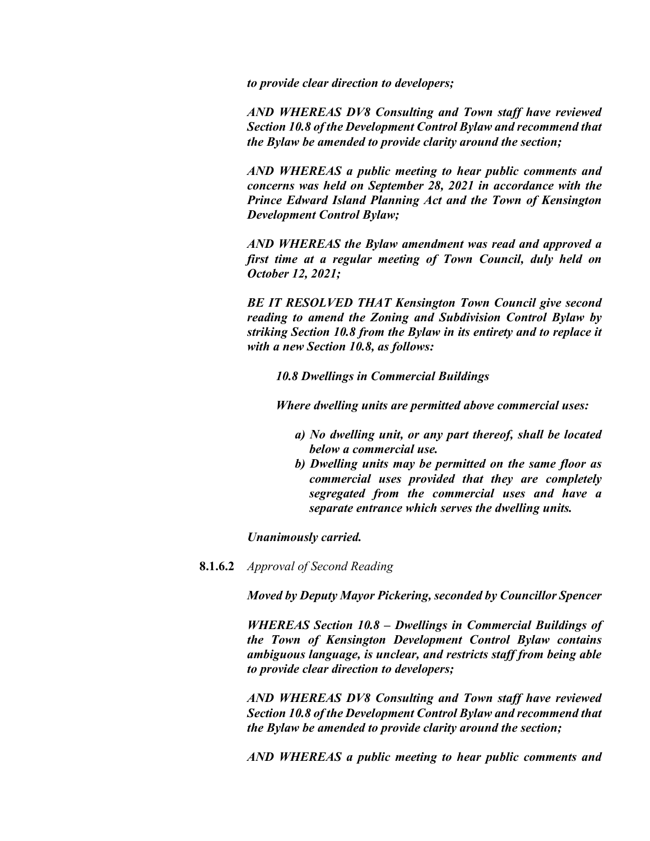*to provide clear direction to developers;*

*AND WHEREAS DV8 Consulting and Town staff have reviewed Section 10.8 of the Development Control Bylaw and recommend that the Bylaw be amended to provide clarity around the section;*

*AND WHEREAS a public meeting to hear public comments and concerns was held on September 28, 2021 in accordance with the Prince Edward Island Planning Act and the Town of Kensington Development Control Bylaw;*

*AND WHEREAS the Bylaw amendment was read and approved a first time at a regular meeting of Town Council, duly held on October 12, 2021;*

*BE IT RESOLVED THAT Kensington Town Council give second reading to amend the Zoning and Subdivision Control Bylaw by striking Section 10.8 from the Bylaw in its entirety and to replace it with a new Section 10.8, as follows:*

*10.8 Dwellings in Commercial Buildings*

*Where dwelling units are permitted above commercial uses:*

- *a) No dwelling unit, or any part thereof, shall be located below a commercial use.*
- *b) Dwelling units may be permitted on the same floor as commercial uses provided that they are completely segregated from the commercial uses and have a separate entrance which serves the dwelling units.*

*Unanimously carried.*

**8.1.6.2** *Approval of Second Reading*

*Moved by Deputy Mayor Pickering, seconded by Councillor Spencer*

*WHEREAS Section 10.8 – Dwellings in Commercial Buildings of the Town of Kensington Development Control Bylaw contains ambiguous language, is unclear, and restricts staff from being able to provide clear direction to developers;*

*AND WHEREAS DV8 Consulting and Town staff have reviewed Section 10.8 of the Development Control Bylaw and recommend that the Bylaw be amended to provide clarity around the section;*

*AND WHEREAS a public meeting to hear public comments and*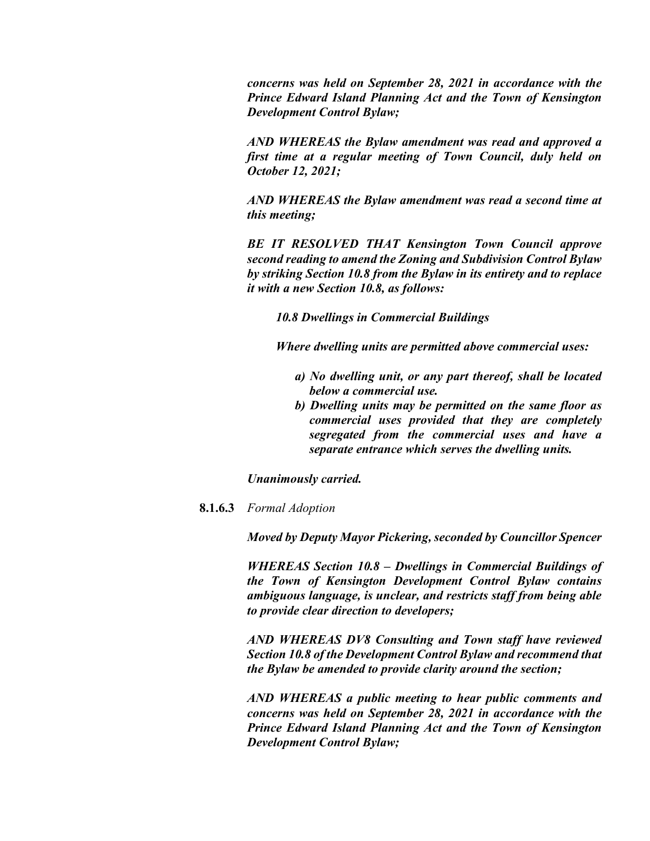*concerns was held on September 28, 2021 in accordance with the Prince Edward Island Planning Act and the Town of Kensington Development Control Bylaw;*

*AND WHEREAS the Bylaw amendment was read and approved a first time at a regular meeting of Town Council, duly held on October 12, 2021;*

*AND WHEREAS the Bylaw amendment was read a second time at this meeting;*

*BE IT RESOLVED THAT Kensington Town Council approve second reading to amend the Zoning and Subdivision Control Bylaw by striking Section 10.8 from the Bylaw in its entirety and to replace it with a new Section 10.8, as follows:*

*10.8 Dwellings in Commercial Buildings*

*Where dwelling units are permitted above commercial uses:*

- *a) No dwelling unit, or any part thereof, shall be located below a commercial use.*
- *b) Dwelling units may be permitted on the same floor as commercial uses provided that they are completely segregated from the commercial uses and have a separate entrance which serves the dwelling units.*

*Unanimously carried.*

**8.1.6.3** *Formal Adoption*

*Moved by Deputy Mayor Pickering, seconded by Councillor Spencer*

*WHEREAS Section 10.8 – Dwellings in Commercial Buildings of the Town of Kensington Development Control Bylaw contains ambiguous language, is unclear, and restricts staff from being able to provide clear direction to developers;*

*AND WHEREAS DV8 Consulting and Town staff have reviewed Section 10.8 of the Development Control Bylaw and recommend that the Bylaw be amended to provide clarity around the section;*

*AND WHEREAS a public meeting to hear public comments and concerns was held on September 28, 2021 in accordance with the Prince Edward Island Planning Act and the Town of Kensington Development Control Bylaw;*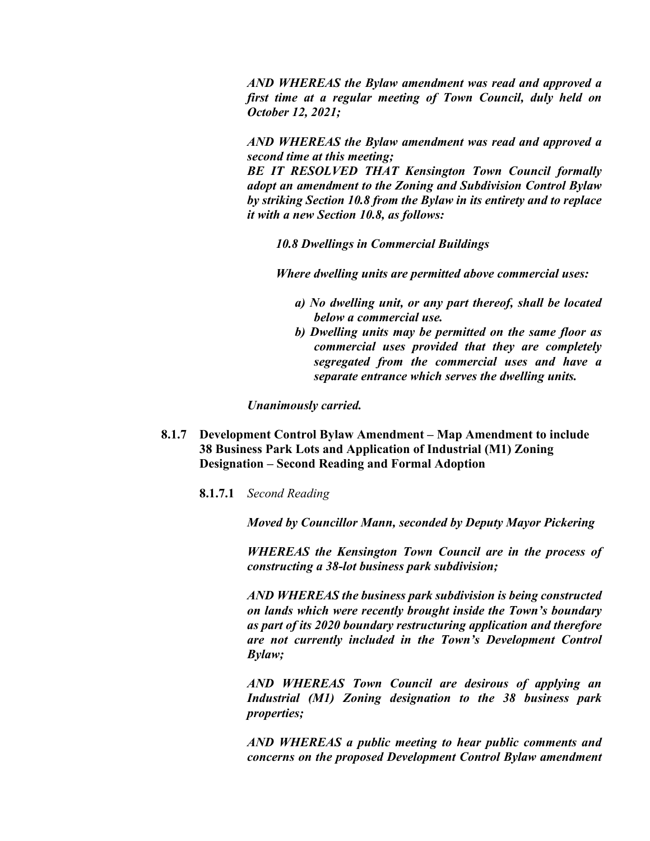*AND WHEREAS the Bylaw amendment was read and approved a first time at a regular meeting of Town Council, duly held on October 12, 2021;*

*AND WHEREAS the Bylaw amendment was read and approved a second time at this meeting;*

*BE IT RESOLVED THAT Kensington Town Council formally adopt an amendment to the Zoning and Subdivision Control Bylaw by striking Section 10.8 from the Bylaw in its entirety and to replace it with a new Section 10.8, as follows:*

*10.8 Dwellings in Commercial Buildings*

*Where dwelling units are permitted above commercial uses:*

- *a) No dwelling unit, or any part thereof, shall be located below a commercial use.*
- *b) Dwelling units may be permitted on the same floor as commercial uses provided that they are completely segregated from the commercial uses and have a separate entrance which serves the dwelling units.*

*Unanimously carried.*

- **8.1.7 Development Control Bylaw Amendment – Map Amendment to include 38 Business Park Lots and Application of Industrial (M1) Zoning Designation – Second Reading and Formal Adoption**
	- **8.1.7.1** *Second Reading*

*Moved by Councillor Mann, seconded by Deputy Mayor Pickering*

*WHEREAS the Kensington Town Council are in the process of constructing a 38-lot business park subdivision;*

*AND WHEREAS the business park subdivision is being constructed on lands which were recently brought inside the Town's boundary as part of its 2020 boundary restructuring application and therefore are not currently included in the Town's Development Control Bylaw;*

*AND WHEREAS Town Council are desirous of applying an Industrial (M1) Zoning designation to the 38 business park properties;*

*AND WHEREAS a public meeting to hear public comments and concerns on the proposed Development Control Bylaw amendment*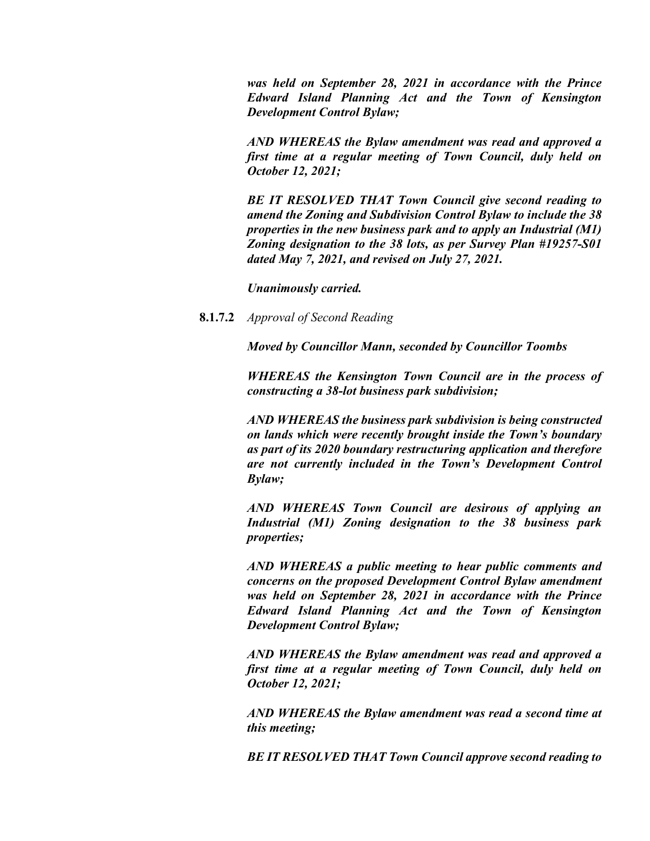*was held on September 28, 2021 in accordance with the Prince Edward Island Planning Act and the Town of Kensington Development Control Bylaw;*

*AND WHEREAS the Bylaw amendment was read and approved a first time at a regular meeting of Town Council, duly held on October 12, 2021;*

*BE IT RESOLVED THAT Town Council give second reading to amend the Zoning and Subdivision Control Bylaw to include the 38 properties in the new business park and to apply an Industrial (M1) Zoning designation to the 38 lots, as per Survey Plan #19257-S01 dated May 7, 2021, and revised on July 27, 2021.*

*Unanimously carried.*

**8.1.7.2** *Approval of Second Reading*

*Moved by Councillor Mann, seconded by Councillor Toombs*

*WHEREAS the Kensington Town Council are in the process of constructing a 38-lot business park subdivision;*

*AND WHEREAS the business park subdivision is being constructed on lands which were recently brought inside the Town's boundary as part of its 2020 boundary restructuring application and therefore are not currently included in the Town's Development Control Bylaw;*

*AND WHEREAS Town Council are desirous of applying an Industrial (M1) Zoning designation to the 38 business park properties;*

*AND WHEREAS a public meeting to hear public comments and concerns on the proposed Development Control Bylaw amendment was held on September 28, 2021 in accordance with the Prince Edward Island Planning Act and the Town of Kensington Development Control Bylaw;*

*AND WHEREAS the Bylaw amendment was read and approved a first time at a regular meeting of Town Council, duly held on October 12, 2021;*

*AND WHEREAS the Bylaw amendment was read a second time at this meeting;*

*BE IT RESOLVED THAT Town Council approve second reading to*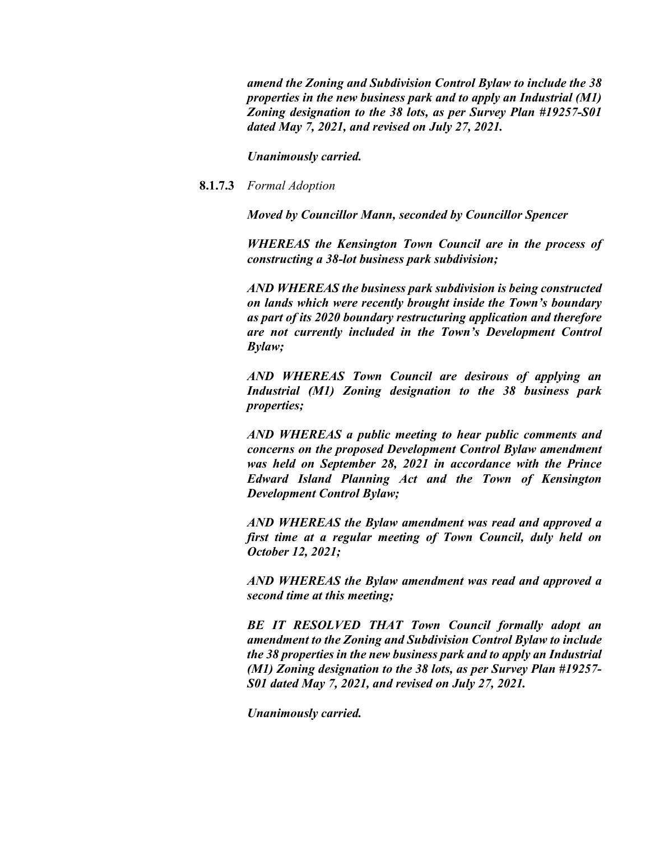*amend the Zoning and Subdivision Control Bylaw to include the 38 properties in the new business park and to apply an Industrial (M1) Zoning designation to the 38 lots, as per Survey Plan #19257-S01 dated May 7, 2021, and revised on July 27, 2021.*

*Unanimously carried.*

## **8.1.7.3** *Formal Adoption*

*Moved by Councillor Mann, seconded by Councillor Spencer*

*WHEREAS the Kensington Town Council are in the process of constructing a 38-lot business park subdivision;*

*AND WHEREAS the business park subdivision is being constructed on lands which were recently brought inside the Town's boundary as part of its 2020 boundary restructuring application and therefore are not currently included in the Town's Development Control Bylaw;*

*AND WHEREAS Town Council are desirous of applying an Industrial (M1) Zoning designation to the 38 business park properties;*

*AND WHEREAS a public meeting to hear public comments and concerns on the proposed Development Control Bylaw amendment was held on September 28, 2021 in accordance with the Prince Edward Island Planning Act and the Town of Kensington Development Control Bylaw;*

*AND WHEREAS the Bylaw amendment was read and approved a first time at a regular meeting of Town Council, duly held on October 12, 2021;*

*AND WHEREAS the Bylaw amendment was read and approved a second time at this meeting;*

*BE IT RESOLVED THAT Town Council formally adopt an amendment to the Zoning and Subdivision Control Bylaw to include the 38 properties in the new business park and to apply an Industrial (M1) Zoning designation to the 38 lots, as per Survey Plan #19257- S01 dated May 7, 2021, and revised on July 27, 2021.*

*Unanimously carried.*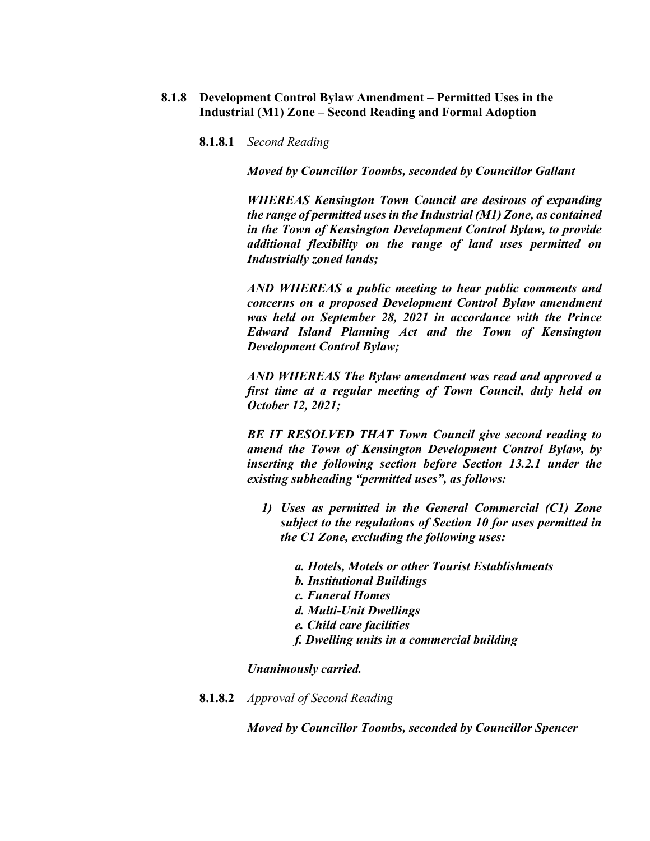- **8.1.8 Development Control Bylaw Amendment – Permitted Uses in the Industrial (M1) Zone – Second Reading and Formal Adoption**
	- **8.1.8.1** *Second Reading*

*Moved by Councillor Toombs, seconded by Councillor Gallant*

*WHEREAS Kensington Town Council are desirous of expanding the range of permitted uses in the Industrial (M1) Zone, as contained in the Town of Kensington Development Control Bylaw, to provide additional flexibility on the range of land uses permitted on Industrially zoned lands;*

*AND WHEREAS a public meeting to hear public comments and concerns on a proposed Development Control Bylaw amendment was held on September 28, 2021 in accordance with the Prince Edward Island Planning Act and the Town of Kensington Development Control Bylaw;*

*AND WHEREAS The Bylaw amendment was read and approved a first time at a regular meeting of Town Council, duly held on October 12, 2021;*

*BE IT RESOLVED THAT Town Council give second reading to amend the Town of Kensington Development Control Bylaw, by inserting the following section before Section 13.2.1 under the existing subheading "permitted uses", as follows:*

- *1) Uses as permitted in the General Commercial (C1) Zone subject to the regulations of Section 10 for uses permitted in the C1 Zone, excluding the following uses:*
	- *a. Hotels, Motels or other Tourist Establishments b. Institutional Buildings c. Funeral Homes d. Multi-Unit Dwellings e. Child care facilities f. Dwelling units in a commercial building*

*Unanimously carried.* 

**8.1.8.2** *Approval of Second Reading*

*Moved by Councillor Toombs, seconded by Councillor Spencer*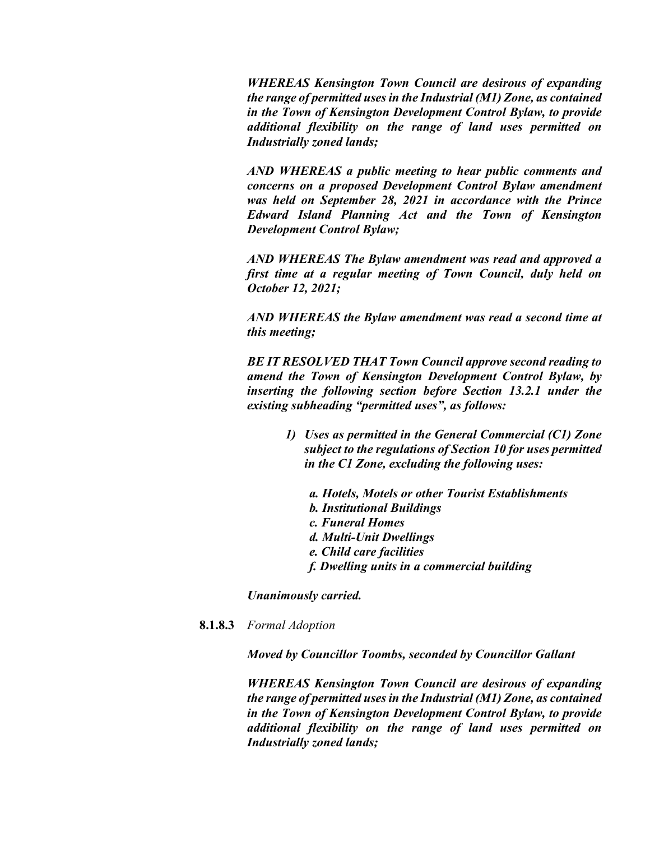*WHEREAS Kensington Town Council are desirous of expanding the range of permitted uses in the Industrial (M1) Zone, as contained in the Town of Kensington Development Control Bylaw, to provide additional flexibility on the range of land uses permitted on Industrially zoned lands;*

*AND WHEREAS a public meeting to hear public comments and concerns on a proposed Development Control Bylaw amendment was held on September 28, 2021 in accordance with the Prince Edward Island Planning Act and the Town of Kensington Development Control Bylaw;*

*AND WHEREAS The Bylaw amendment was read and approved a first time at a regular meeting of Town Council, duly held on October 12, 2021;*

*AND WHEREAS the Bylaw amendment was read a second time at this meeting;*

*BE IT RESOLVED THAT Town Council approve second reading to amend the Town of Kensington Development Control Bylaw, by inserting the following section before Section 13.2.1 under the existing subheading "permitted uses", as follows:*

- *1) Uses as permitted in the General Commercial (C1) Zone subject to the regulations of Section 10 for uses permitted in the C1 Zone, excluding the following uses:*
	- *a. Hotels, Motels or other Tourist Establishments*
	- *b. Institutional Buildings*
	- *c. Funeral Homes*
	- *d. Multi-Unit Dwellings*
	- *e. Child care facilities*
	- *f. Dwelling units in a commercial building*

*Unanimously carried.*

**8.1.8.3** *Formal Adoption*

*Moved by Councillor Toombs, seconded by Councillor Gallant*

*WHEREAS Kensington Town Council are desirous of expanding the range of permitted uses in the Industrial (M1) Zone, as contained in the Town of Kensington Development Control Bylaw, to provide additional flexibility on the range of land uses permitted on Industrially zoned lands;*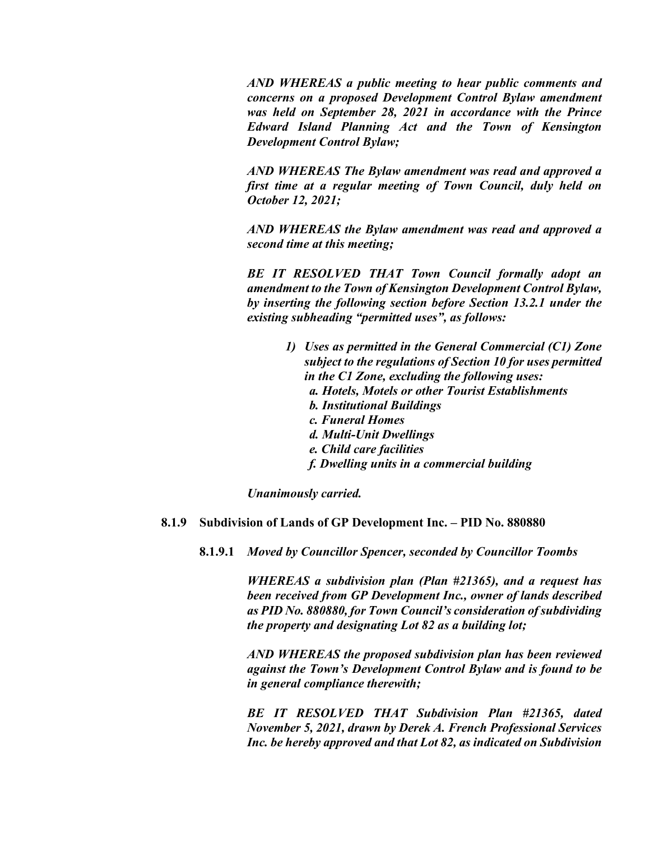*AND WHEREAS a public meeting to hear public comments and concerns on a proposed Development Control Bylaw amendment was held on September 28, 2021 in accordance with the Prince Edward Island Planning Act and the Town of Kensington Development Control Bylaw;*

*AND WHEREAS The Bylaw amendment was read and approved a first time at a regular meeting of Town Council, duly held on October 12, 2021;*

*AND WHEREAS the Bylaw amendment was read and approved a second time at this meeting;*

*BE IT RESOLVED THAT Town Council formally adopt an amendment to the Town of Kensington Development Control Bylaw, by inserting the following section before Section 13.2.1 under the existing subheading "permitted uses", as follows:*

> *1) Uses as permitted in the General Commercial (C1) Zone subject to the regulations of Section 10 for uses permitted in the C1 Zone, excluding the following uses: a. Hotels, Motels or other Tourist Establishments b. Institutional Buildings c. Funeral Homes d. Multi-Unit Dwellings e. Child care facilities f. Dwelling units in a commercial building*

*Unanimously carried.*

### **8.1.9 Subdivision of Lands of GP Development Inc. – PID No. 880880**

**8.1.9.1** *Moved by Councillor Spencer, seconded by Councillor Toombs*

*WHEREAS a subdivision plan (Plan #21365), and a request has been received from GP Development Inc., owner of lands described as PID No. 880880, for Town Council's consideration of subdividing the property and designating Lot 82 as a building lot;*

*AND WHEREAS the proposed subdivision plan has been reviewed against the Town's Development Control Bylaw and is found to be in general compliance therewith;*

*BE IT RESOLVED THAT Subdivision Plan #21365, dated November 5, 2021, drawn by Derek A. French Professional Services Inc. be hereby approved and that Lot 82, as indicated on Subdivision*